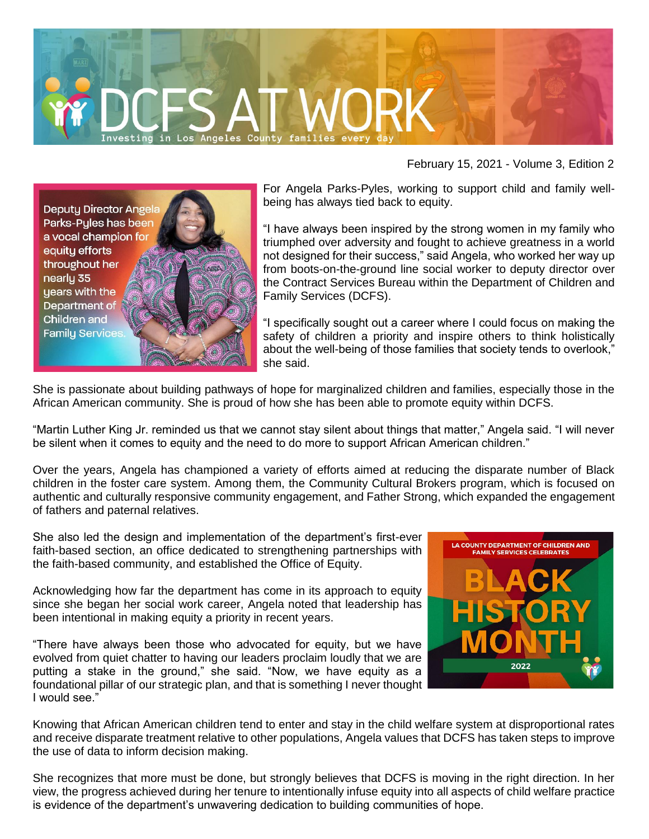

February 15, 2021 - Volume 3, Edition 2



For Angela Parks-Pyles, working to support child and family wellbeing has always tied back to equity.

"I have always been inspired by the strong women in my family who triumphed over adversity and fought to achieve greatness in a world not designed for their success," said Angela, who worked her way up from boots-on-the-ground line social worker to deputy director over the Contract Services Bureau within the Department of Children and Family Services (DCFS).

"I specifically sought out a career where I could focus on making the safety of children a priority and inspire others to think holistically about the well-being of those families that society tends to overlook," she said.

She is passionate about building pathways of hope for marginalized children and families, especially those in the African American community. She is proud of how she has been able to promote equity within DCFS.

"Martin Luther King Jr. reminded us that we cannot stay silent about things that matter," Angela said. "I will never be silent when it comes to equity and the need to do more to support African American children."

Over the years, Angela has championed a variety of efforts aimed at reducing the disparate number of Black children in the foster care system. Among them, the Community Cultural Brokers program, which is focused on authentic and culturally responsive community engagement, and Father Strong, which expanded the engagement of fathers and paternal relatives.

She also led the design and implementation of the department's first-ever faith-based section, an office dedicated to strengthening partnerships with the faith-based community, and established the Office of Equity.

Acknowledging how far the department has come in its approach to equity since she began her social work career, Angela noted that leadership has been intentional in making equity a priority in recent years.

"There have always been those who advocated for equity, but we have evolved from quiet chatter to having our leaders proclaim loudly that we are putting a stake in the ground," she said. "Now, we have equity as a foundational pillar of our strategic plan, and that is something I never thought I would see."



Knowing that African American children tend to enter and stay in the child welfare system at disproportional rates and receive disparate treatment relative to other populations, Angela values that DCFS has taken steps to improve the use of data to inform decision making.

She recognizes that more must be done, but strongly believes that DCFS is moving in the right direction. In her view, the progress achieved during her tenure to intentionally infuse equity into all aspects of child welfare practice is evidence of the department's unwavering dedication to building communities of hope.